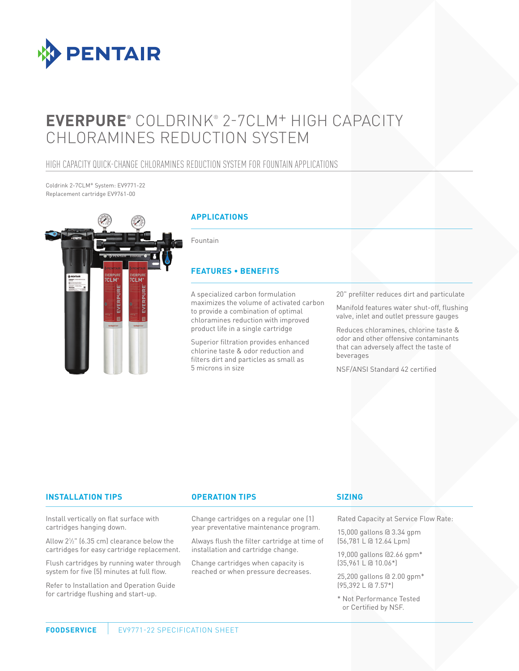

# **EVERPURE®** COLDRINK® 2-7CLM+ HIGH CAPACITY CHLORAMINES REDUCTION SYSTEM

### HIGH CAPACITY QUICK-CHANGE CHLORAMINES REDUCTION SYSTEM FOR FOUNTAIN APPLICATIONS

Coldrink 2-7CLM+ System: EV9771-22 Replacement cartridge EV9761-00



#### **APPLICATIONS**

Fountain

#### **FEATURES • BENEFITS**

A specialized carbon formulation maximizes the volume of activated carbon to provide a combination of optimal chloramines reduction with improved product life in a single cartridge

Superior filtration provides enhanced chlorine taste & odor reduction and filters dirt and particles as small as 5 microns in size

20" prefilter reduces dirt and particulate

Manifold features water shut-off, flushing valve, inlet and outlet pressure gauges

Reduces chloramines, chlorine taste & odor and other offensive contaminants that can adversely affect the taste of beverages

NSF/ANSI Standard 42 certified

#### **INSTALLATION TIPS OPERATION TIPS**

Install vertically on flat surface with cartridges hanging down.

Allow 21 ⁄2" (6.35 cm) clearance below the cartridges for easy cartridge replacement.

Flush cartridges by running water through system for five (5) minutes at full flow.

Refer to Installation and Operation Guide for cartridge flushing and start-up.

Change cartridges on a regular one (1) year preventative maintenance program.

Always flush the filter cartridge at time of installation and cartridge change.

Change cartridges when capacity is reached or when pressure decreases.

#### **SIZING**

Rated Capacity at Service Flow Rate:

15,000 gallons @ 3.34 gpm (56,781 L @ 12.64 Lpm)

19,000 gallons @2.66 gpm\* (35,961 L @ 10.06\*)

25,200 gallons @ 2.00 gpm\* (95,392 L @ 7.57\*)

\* Not Performance Tested or Certified by NSF.